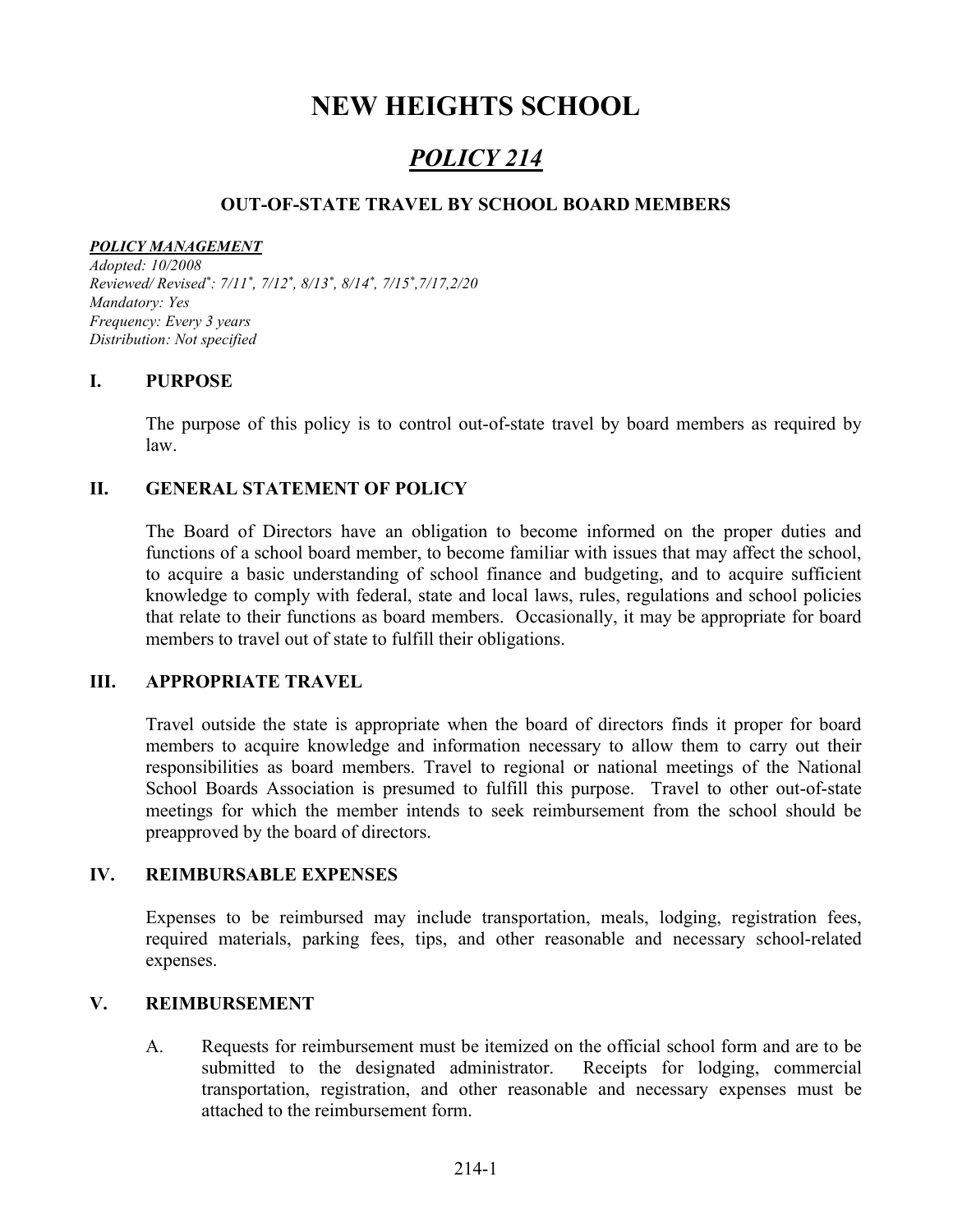# NEW HEIGHTS SCHOOL

# POLICY 214

### OUT-OF-STATE TRAVEL BY SCHOOL BOARD MEMBERS

#### POLICY MANAGEMENT

Adopted: 10/2008 Reviewed/Revised\*: 7/11\*, 7/12\*, 8/13\*, 8/14\*, 7/15\*,7/17,2/20 Mandatory: Yes Frequency: Every 3 years Distribution: Not specified

### I. PURPOSE

The purpose of this policy is to control out-of-state travel by board members as required by law.

### II. GENERAL STATEMENT OF POLICY

The Board of Directors have an obligation to become informed on the proper duties and functions of a school board member, to become familiar with issues that may affect the school, to acquire a basic understanding of school finance and budgeting, and to acquire sufficient knowledge to comply with federal, state and local laws, rules, regulations and school policies that relate to their functions as board members. Occasionally, it may be appropriate for board members to travel out of state to fulfill their obligations.

### III. APPROPRIATE TRAVEL

Travel outside the state is appropriate when the board of directors finds it proper for board members to acquire knowledge and information necessary to allow them to carry out their responsibilities as board members. Travel to regional or national meetings of the National School Boards Association is presumed to fulfill this purpose. Travel to other out-of-state meetings for which the member intends to seek reimbursement from the school should be preapproved by the board of directors.

### IV. REIMBURSABLE EXPENSES

Expenses to be reimbursed may include transportation, meals, lodging, registration fees, required materials, parking fees, tips, and other reasonable and necessary school-related expenses.

### V. REIMBURSEMENT

A. Requests for reimbursement must be itemized on the official school form and are to be submitted to the designated administrator. Receipts for lodging, commercial transportation, registration, and other reasonable and necessary expenses must be attached to the reimbursement form.